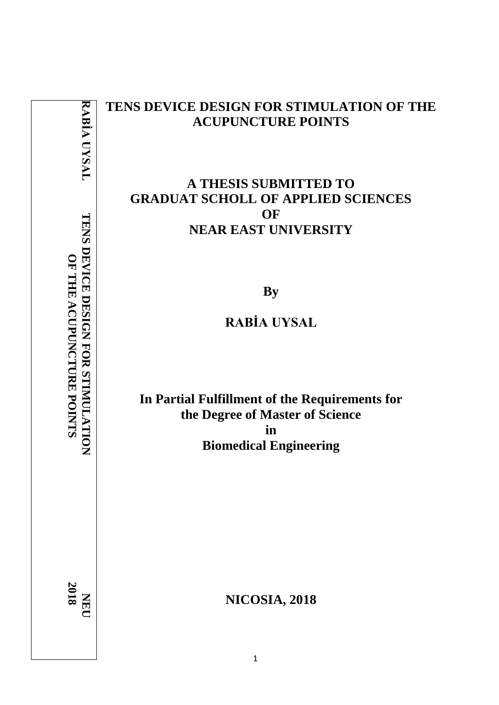| RABIA UYSAL                                                     | TENS DEVICE DESIGN FOR STIMULATION OF THE<br><b>ACUPUNCTURE POINTS</b>                                                                            |
|-----------------------------------------------------------------|---------------------------------------------------------------------------------------------------------------------------------------------------|
| TENS DEVICE DESIGN FOR STIMULATION<br>OF THE ACUPUNCTURE POINTS | <b>A THESIS SUBMITTED TO</b><br><b>GRADUAT SCHOLL OF APPLIED SCIENCES</b><br>OF<br><b>NEAR EAST UNIVERSITY</b><br><b>By</b><br><b>RABIA UYSAL</b> |
|                                                                 | In Partial Fulfillment of the Requirements for<br>the Degree of Master of Science<br>in<br><b>Biomedical Engineering</b>                          |
| $\frac{NE}{2018}$                                               | <b>NICOSIA, 2018</b>                                                                                                                              |

1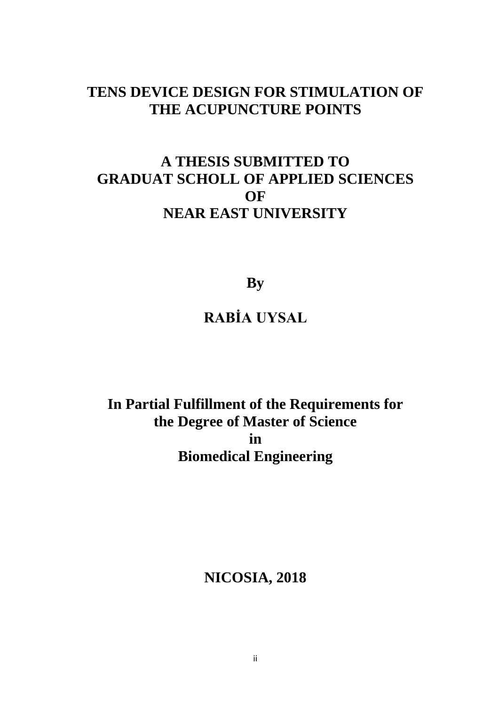# **TENS DEVICE DESIGN FOR STIMULATION OF THE ACUPUNCTURE POINTS**

# **A THESIS SUBMITTED TO GRADUAT SCHOLL OF APPLIED SCIENCES OF NEAR EAST UNIVERSITY**

**By**

# **RABİA UYSAL**

**In Partial Fulfillment of the Requirements for the Degree of Master of Science in Biomedical Engineering**

**NICOSIA, 2018**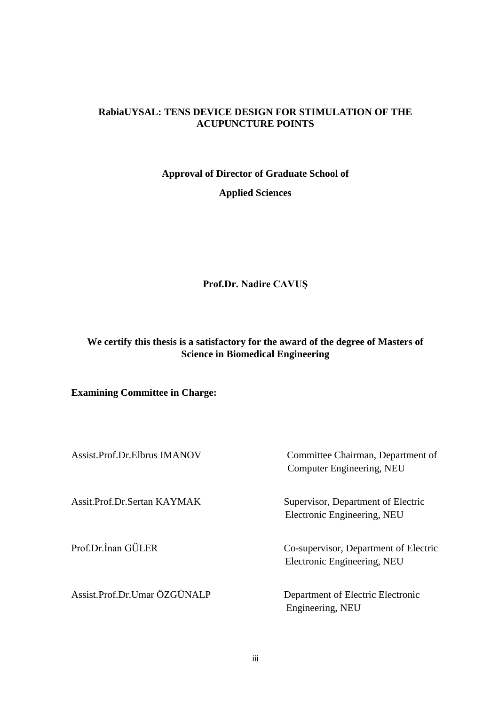#### **RabiaUYSAL: TENS DEVICE DESIGN FOR STIMULATION OF THE ACUPUNCTURE POINTS**

### **Approval of Director of Graduate School of**

**Applied Sciences**

**Prof.Dr. Nadire CAVUŞ**

### **We certify this thesis is a satisfactory for the award of the degree of Masters of Science in Biomedical Engineering**

### **Examining Committee in Charge:**

| Assist.Prof.Dr.Elbrus IMANOV | Committee Chairman, Department of<br>Computer Engineering, NEU       |
|------------------------------|----------------------------------------------------------------------|
| Assit.Prof.Dr.Sertan KAYMAK  | Supervisor, Department of Electric<br>Electronic Engineering, NEU    |
| Prof.Dr.Inan GÜLER           | Co-supervisor, Department of Electric<br>Electronic Engineering, NEU |
| Assist.Prof.Dr.Umar ÖZGÜNALP | Department of Electric Electronic<br>Engineering, NEU                |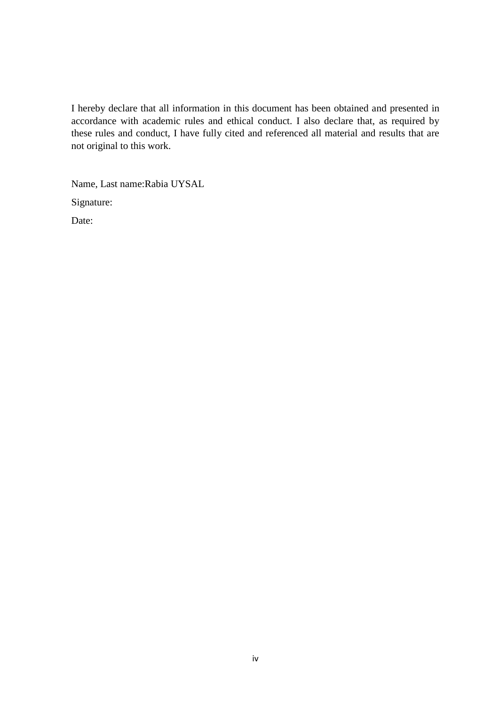I hereby declare that all information in this document has been obtained and presented in accordance with academic rules and ethical conduct. I also declare that, as required by these rules and conduct, I have fully cited and referenced all material and results that are not original to this work.

Name, Last name:Rabia UYSAL

Signature:

Date: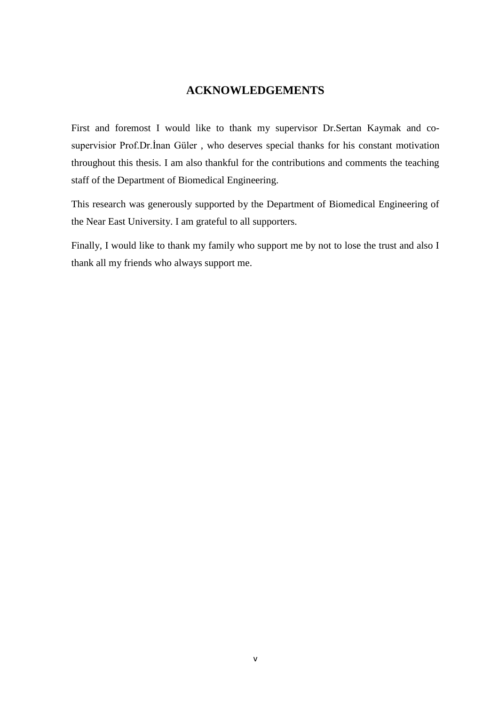### **ACKNOWLEDGEMENTS**

<span id="page-4-0"></span>First and foremost I would like to thank my supervisor Dr.Sertan Kaymak and cosupervisior Prof.Dr.İnan Güler , who deserves special thanks for his constant motivation throughout this thesis. I am also thankful for the contributions and comments the teaching staff of the Department of Biomedical Engineering.

This research was generously supported by the Department of Biomedical Engineering of the Near East University. I am grateful to all supporters.

Finally, I would like to thank my family who support me by not to lose the trust and also I thank all my friends who always support me.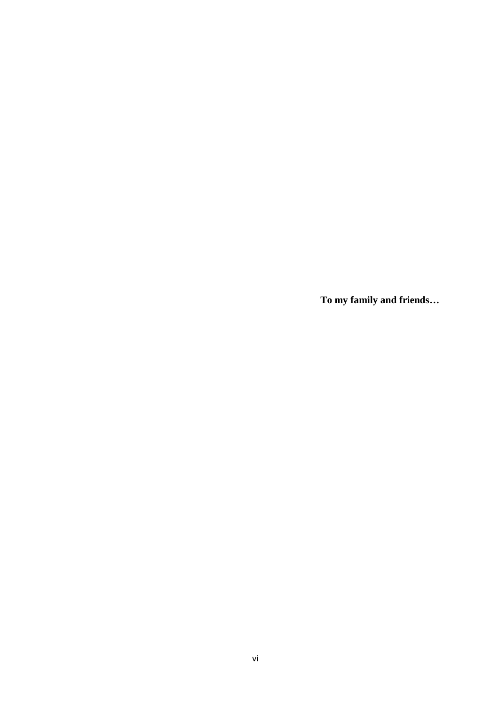**To my family and friends…**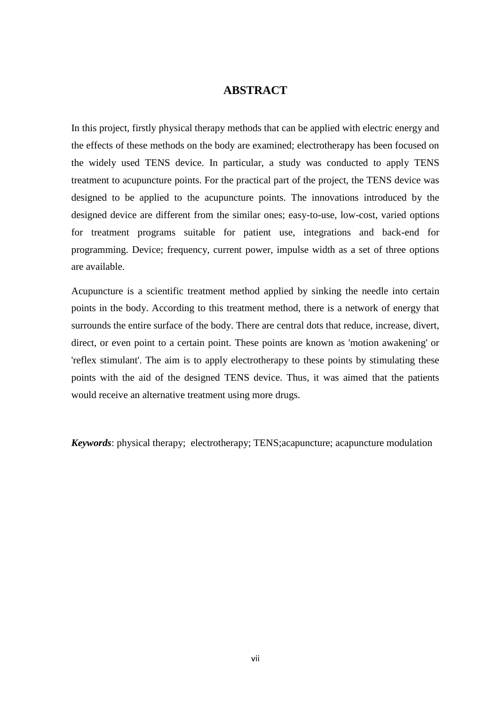#### **ABSTRACT**

<span id="page-6-0"></span>In this project, firstly physical therapy methods that can be applied with electric energy and the effects of these methods on the body are examined; electrotherapy has been focused on the widely used TENS device. In particular, a study was conducted to apply TENS treatment to acupuncture points. For the practical part of the project, the TENS device was designed to be applied to the acupuncture points. The innovations introduced by the designed device are different from the similar ones; easy-to-use, low-cost, varied options for treatment programs suitable for patient use, integrations and back-end for programming. Device; frequency, current power, impulse width as a set of three options are available.

Acupuncture is a scientific treatment method applied by sinking the needle into certain points in the body. According to this treatment method, there is a network of energy that surrounds the entire surface of the body. There are central dots that reduce, increase, divert, direct, or even point to a certain point. These points are known as 'motion awakening' or 'reflex stimulant'. The aim is to apply electrotherapy to these points by stimulating these points with the aid of the designed TENS device. Thus, it was aimed that the patients would receive an alternative treatment using more drugs.

*Keywords*: physical therapy; electrotherapy; TENS;acapuncture; acapuncture modulation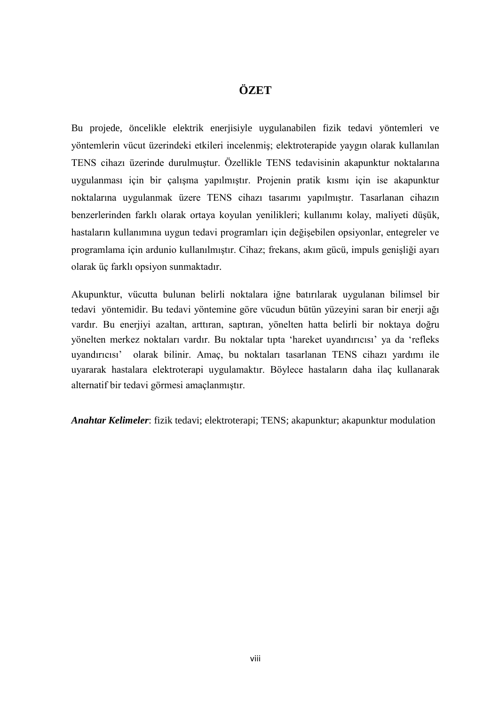## **ÖZET**

<span id="page-7-0"></span>Bu projede, öncelikle elektrik enerjisiyle uygulanabilen fizik tedavi yöntemleri ve yöntemlerin vücut üzerindeki etkileri incelenmiş; elektroterapide yaygın olarak kullanılan TENS cihazı üzerinde durulmuştur. Özellikle TENS tedavisinin akapunktur noktalarına uygulanması için bir çalışma yapılmıştır. Projenin pratik kısmı için ise akapunktur noktalarına uygulanmak üzere TENS cihazı tasarımı yapılmıştır. Tasarlanan cihazın benzerlerinden farklı olarak ortaya koyulan yenilikleri; kullanımı kolay, maliyeti düşük, hastaların kullanımına uygun tedavi programları için değişebilen opsiyonlar, entegreler ve programlama için ardunio kullanılmıştır. Cihaz; frekans, akım gücü, impuls genişliği ayarı olarak üç farklı opsiyon sunmaktadır.

Akupunktur, vücutta bulunan belirli noktalara iğne batırılarak uygulanan bilimsel bir tedavi yöntemidir. Bu tedavi yöntemine göre vücudun bütün yüzeyini saran bir enerji ağı vardır. Bu enerjiyi azaltan, arttıran, saptıran, yönelten hatta belirli bir noktaya doğru yönelten merkez noktaları vardır. Bu noktalar tıpta 'hareket uyandırıcısı' ya da 'refleks uyandırıcısı' olarak bilinir. Amaç, bu noktaları tasarlanan TENS cihazı yardımı ile uyararak hastalara elektroterapi uygulamaktır. Böylece hastaların daha ilaç kullanarak alternatif bir tedavi görmesi amaçlanmıştır.

*Anahtar Kelimeler*: fizik tedavi; elektroterapi; TENS; akapunktur; akapunktur modulation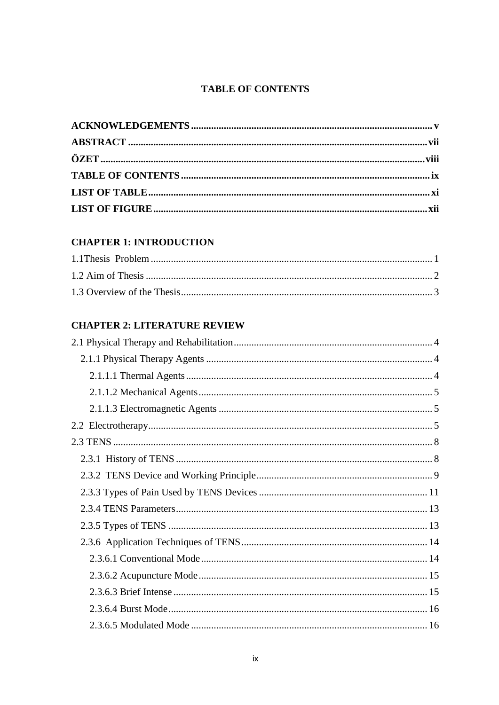## **TABLE OF CONTENTS**

<span id="page-8-0"></span>

## **CHAPTER 1: INTRODUCTION**

### **CHAPTER 2: LITERATURE REVIEW**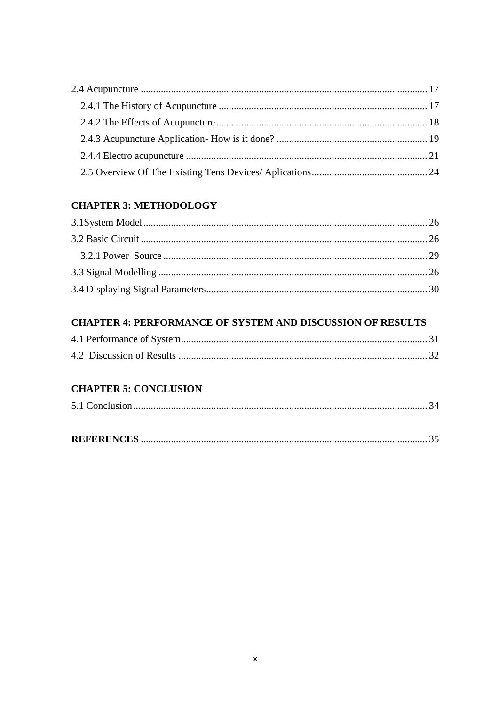## **CHAPTER 3: METHODOLOGY**

## **CHAPTER 4: PERFORMANCE OF SYSTEM AND DISCUSSION OF RESULTS**

## **CHAPTER 5: CONCLUSION**

|--|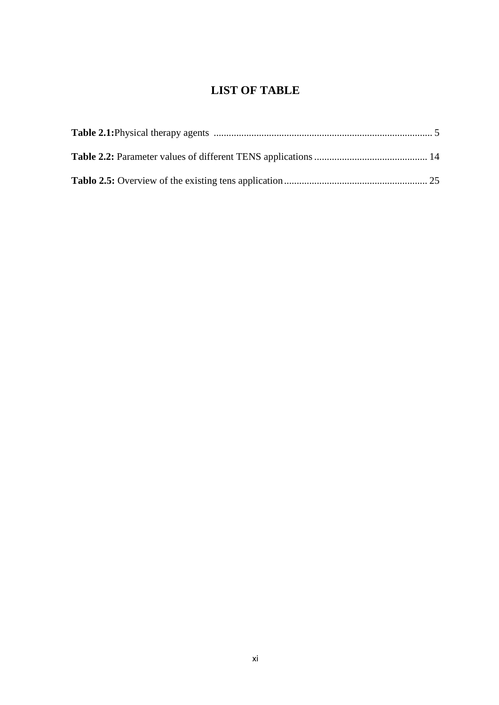# **LIST OF TABLE**

<span id="page-10-0"></span>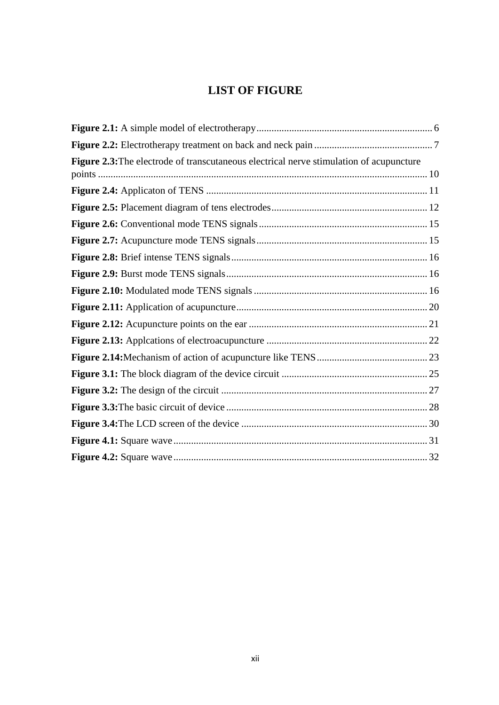# **LIST OF FIGURE**

<span id="page-11-0"></span>

| Figure 2.3: The electrode of transcutaneous electrical nerve stimulation of acupuncture |  |
|-----------------------------------------------------------------------------------------|--|
|                                                                                         |  |
|                                                                                         |  |
|                                                                                         |  |
|                                                                                         |  |
|                                                                                         |  |
|                                                                                         |  |
|                                                                                         |  |
|                                                                                         |  |
|                                                                                         |  |
|                                                                                         |  |
|                                                                                         |  |
|                                                                                         |  |
|                                                                                         |  |
|                                                                                         |  |
|                                                                                         |  |
|                                                                                         |  |
|                                                                                         |  |
|                                                                                         |  |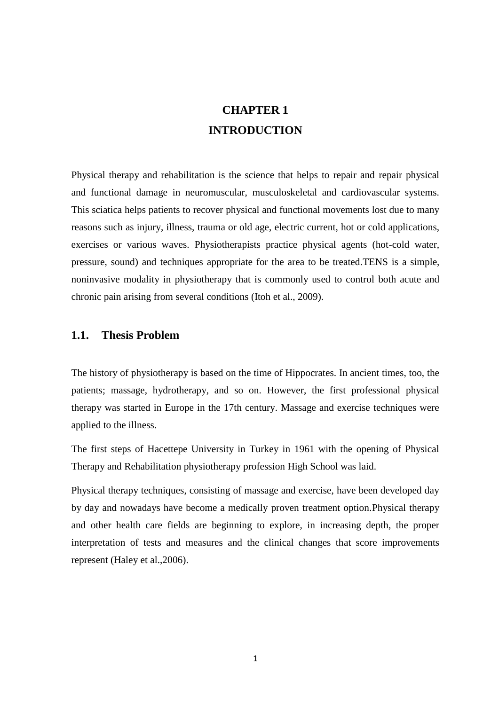# **CHAPTER 1 INTRODUCTION**

<span id="page-12-0"></span>Physical therapy and rehabilitation is the science that helps to repair and repair physical and functional damage in neuromuscular, musculoskeletal and cardiovascular systems. This sciatica helps patients to recover physical and functional movements lost due to many reasons such as injury, illness, trauma or old age, electric current, hot or cold applications, exercises or various waves. Physiotherapists practice physical agents (hot-cold water, pressure, sound) and techniques appropriate for the area to be treated.TENS is a simple, noninvasive modality in physiotherapy that is commonly used to control both acute and chronic pain arising from several conditions (Itoh et al., 2009).

#### <span id="page-12-1"></span>**1.1. Thesis Problem**

The history of physiotherapy is based on the time of Hippocrates. In ancient times, too, the patients; massage, hydrotherapy, and so on. However, the first professional physical therapy was started in Europe in the 17th century. Massage and exercise techniques were applied to the illness.

The first steps of Hacettepe University in Turkey in 1961 with the opening of Physical Therapy and Rehabilitation physiotherapy profession High School was laid.

Physical therapy techniques, consisting of massage and exercise, have been developed day by day and nowadays have become a medically proven treatment option.Physical therapy and other health care fields are beginning to explore, in increasing depth, the proper interpretation of tests and measures and the clinical changes that score improvements represent (Haley et al.,2006).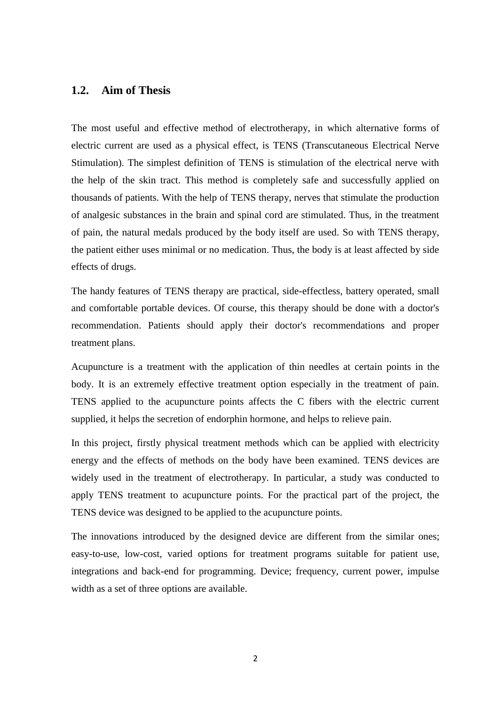#### <span id="page-13-0"></span>**1.2. Aim of Thesis**

The most useful and effective method of electrotherapy, in which alternative forms of electric current are used as a physical effect, is TENS (Transcutaneous Electrical Nerve Stimulation). The simplest definition of TENS is stimulation of the electrical nerve with the help of the skin tract. This method is completely safe and successfully applied on thousands of patients. With the help of TENS therapy, nerves that stimulate the production of analgesic substances in the brain and spinal cord are stimulated. Thus, in the treatment of pain, the natural medals produced by the body itself are used. So with TENS therapy, the patient either uses minimal or no medication. Thus, the body is at least affected by side effects of drugs.

The handy features of TENS therapy are practical, side-effectless, battery operated, small and comfortable portable devices. Of course, this therapy should be done with a doctor's recommendation. Patients should apply their doctor's recommendations and proper treatment plans.

Acupuncture is a treatment with the application of thin needles at certain points in the body. It is an extremely effective treatment option especially in the treatment of pain. TENS applied to the acupuncture points affects the C fibers with the electric current supplied, it helps the secretion of endorphin hormone, and helps to relieve pain.

In this project, firstly physical treatment methods which can be applied with electricity energy and the effects of methods on the body have been examined. TENS devices are widely used in the treatment of electrotherapy. In particular, a study was conducted to apply TENS treatment to acupuncture points. For the practical part of the project, the TENS device was designed to be applied to the acupuncture points.

The innovations introduced by the designed device are different from the similar ones; easy-to-use, low-cost, varied options for treatment programs suitable for patient use, integrations and back-end for programming. Device; frequency, current power, impulse width as a set of three options are available.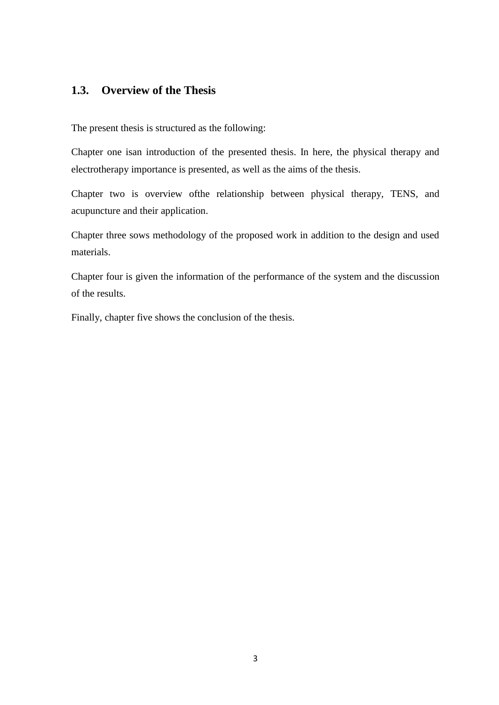## <span id="page-14-0"></span>**1.3. Overview of the Thesis**

The present thesis is structured as the following:

Chapter one isan introduction of the presented thesis. In here, the physical therapy and electrotherapy importance is presented, as well as the aims of the thesis.

Chapter two is overview ofthe relationship between physical therapy, TENS, and acupuncture and their application.

Chapter three sows methodology of the proposed work in addition to the design and used materials.

Chapter four is given the information of the performance of the system and the discussion of the results.

Finally, chapter five shows the conclusion of the thesis.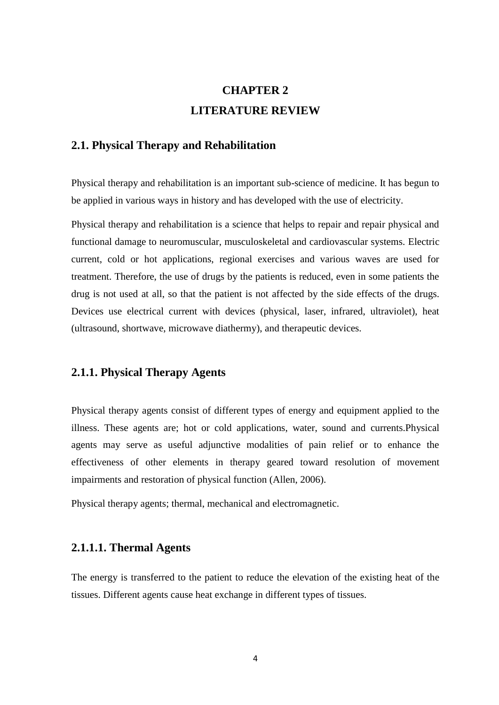# **CHAPTER 2 LITERATURE REVIEW**

#### <span id="page-15-1"></span><span id="page-15-0"></span>**2.1. Physical Therapy and Rehabilitation**

Physical therapy and rehabilitation is an important sub-science of medicine. It has begun to be applied in various ways in history and has developed with the use of electricity.

Physical therapy and rehabilitation is a science that helps to repair and repair physical and functional damage to neuromuscular, musculoskeletal and cardiovascular systems. Electric current, cold or hot applications, regional exercises and various waves are used for treatment. Therefore, the use of drugs by the patients is reduced, even in some patients the drug is not used at all, so that the patient is not affected by the side effects of the drugs. Devices use electrical current with devices (physical, laser, infrared, ultraviolet), heat (ultrasound, shortwave, microwave diathermy), and therapeutic devices.

### <span id="page-15-2"></span>**2.1.1. Physical Therapy Agents**

Physical therapy agents consist of different types of energy and equipment applied to the illness. These agents are; hot or cold applications, water, sound and currents.Physical agents may serve as useful adjunctive modalities of pain relief or to enhance the effectiveness of other elements in therapy geared toward resolution of movement impairments and restoration of physical function (Allen, 2006).

Physical therapy agents; thermal, mechanical and electromagnetic.

#### <span id="page-15-3"></span>**2.1.1.1. Thermal Agents**

The energy is transferred to the patient to reduce the elevation of the existing heat of the tissues. Different agents cause heat exchange in different types of tissues.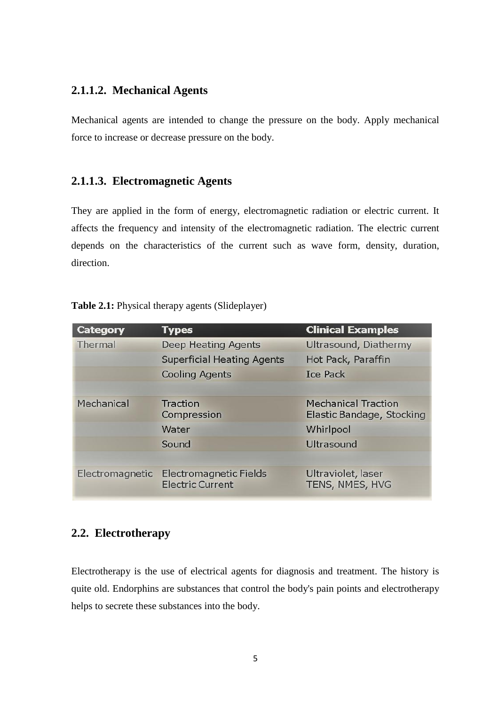### <span id="page-16-0"></span>**2.1.1.2. Mechanical Agents**

Mechanical agents are intended to change the pressure on the body. Apply mechanical force to increase or decrease pressure on the body.

#### <span id="page-16-1"></span>**2.1.1.3. Electromagnetic Agents**

They are applied in the form of energy, electromagnetic radiation or electric current. It affects the frequency and intensity of the electromagnetic radiation. The electric current depends on the characteristics of the current such as wave form, density, duration, direction.

#### **Table 2.1:** Physical therapy agents (Slideplayer)

| <b>Category</b> | <b>Types</b>                                      | <b>Clinical Examples</b>                                |
|-----------------|---------------------------------------------------|---------------------------------------------------------|
| Thermal         | <b>Deep Heating Agents</b>                        | Ultrasound, Diathermy                                   |
|                 | <b>Superficial Heating Agents</b>                 | Hot Pack, Paraffin                                      |
|                 | <b>Cooling Agents</b>                             | <b>Ice Pack</b>                                         |
|                 |                                                   |                                                         |
| Mechanical      | Traction<br>Compression                           | <b>Mechanical Traction</b><br>Elastic Bandage, Stocking |
|                 | Water                                             | Whirlpool                                               |
|                 | Sound                                             | Ultrasound                                              |
|                 |                                                   |                                                         |
| Electromagnetic | Electromagnetic Fields<br><b>Electric Current</b> | Ultraviolet, laser<br>TENS, NMES, HVG                   |

## <span id="page-16-2"></span>**2.2. Electrotherapy**

Electrotherapy is the use of electrical agents for diagnosis and treatment. The history is quite old. Endorphins are substances that control the body's pain points and electrotherapy helps to secrete these substances into the body.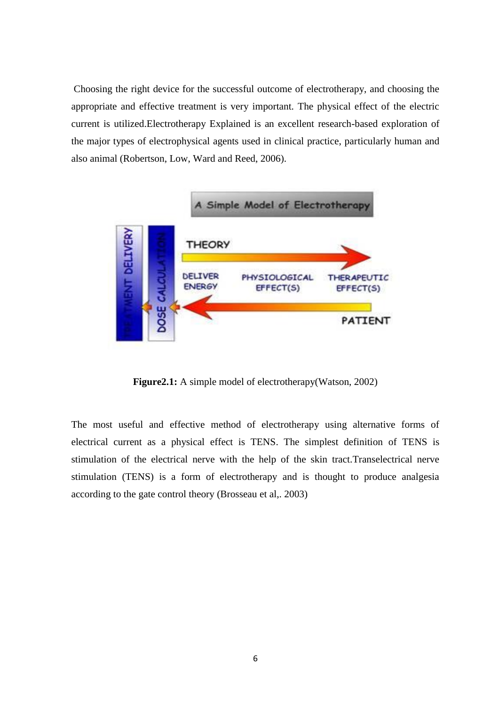Choosing the right device for the successful outcome of electrotherapy, and choosing the appropriate and effective treatment is very important. The physical effect of the electric current is utilized.Electrotherapy Explained is an excellent research-based exploration of the major types of electrophysical agents used in clinical practice, particularly human and also animal (Robertson, Low, Ward and Reed, 2006).



**Figure2.1:** A simple model of electrotherapy(Watson, 2002)

The most useful and effective method of electrotherapy using alternative forms of electrical current as a physical effect is TENS. The simplest definition of TENS is stimulation of the electrical nerve with the help of the skin tract.Transelectrical nerve stimulation (TENS) is a form of electrotherapy and is thought to produce analgesia according to the gate control theory (Brosseau et al,. 2003)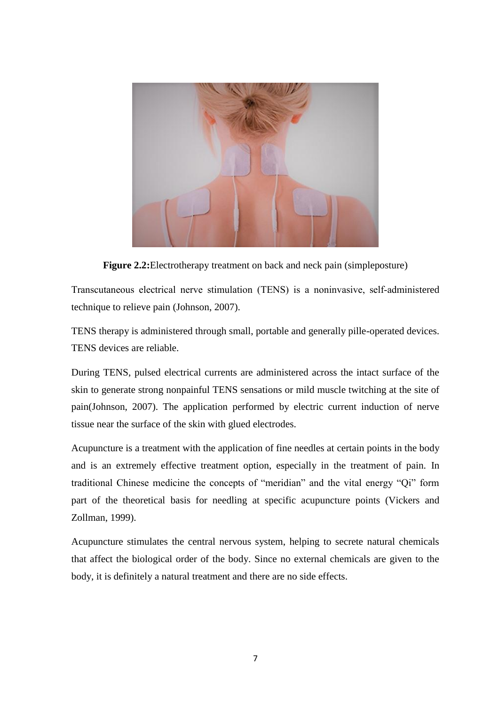

**Figure 2.2:**Electrotherapy treatment on back and neck pain (simpleposture)

Transcutaneous electrical nerve stimulation (TENS) is a noninvasive, self‐administered technique to relieve pain (Johnson, 2007).

TENS therapy is administered through small, portable and generally pille-operated devices. TENS devices are reliable.

During TENS, pulsed electrical currents are administered across the intact surface of the skin to generate strong nonpainful TENS sensations or mild muscle twitching at the site of pain(Johnson, 2007). The application performed by electric current induction of nerve tissue near the surface of the skin with glued electrodes.

Acupuncture is a treatment with the application of fine needles at certain points in the body and is an extremely effective treatment option, especially in the treatment of pain. In traditional Chinese medicine the concepts of "meridian" and the vital energy "Qi" form part of the theoretical basis for needling at specific acupuncture points (Vickers and Zollman, 1999).

Acupuncture stimulates the central nervous system, helping to secrete natural chemicals that affect the biological order of the body. Since no external chemicals are given to the body, it is definitely a natural treatment and there are no side effects.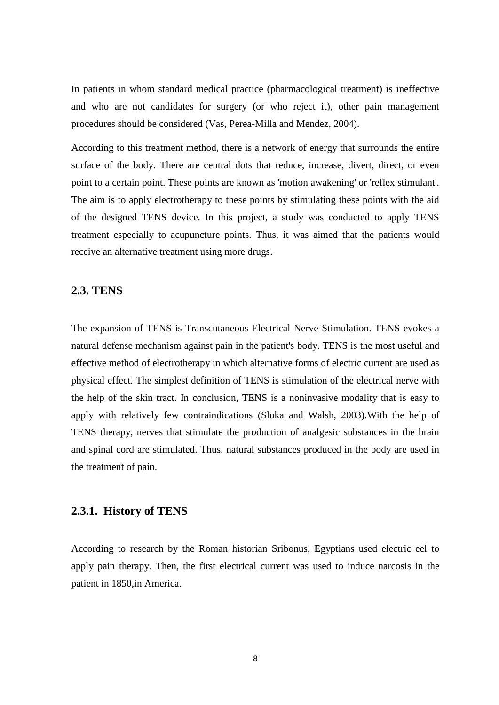In patients in whom standard medical practice (pharmacological treatment) is ineffective and who are not candidates for surgery (or who reject it), other pain management procedures should be considered (Vas, Perea-Milla and Mendez, 2004).

According to this treatment method, there is a network of energy that surrounds the entire surface of the body. There are central dots that reduce, increase, divert, direct, or even point to a certain point. These points are known as 'motion awakening' or 'reflex stimulant'. The aim is to apply electrotherapy to these points by stimulating these points with the aid of the designed TENS device. In this project, a study was conducted to apply TENS treatment especially to acupuncture points. Thus, it was aimed that the patients would receive an alternative treatment using more drugs.

#### <span id="page-19-0"></span>**2.3. TENS**

The expansion of TENS is Transcutaneous Electrical Nerve Stimulation. TENS evokes a natural defense mechanism against pain in the patient's body. TENS is the most useful and effective method of electrotherapy in which alternative forms of electric current are used as physical effect. The simplest definition of TENS is stimulation of the electrical nerve with the help of the skin tract. In conclusion, TENS is a noninvasive modality that is easy to apply with relatively few contraindications (Sluka and Walsh, 2003).With the help of TENS therapy, nerves that stimulate the production of analgesic substances in the brain and spinal cord are stimulated. Thus, natural substances produced in the body are used in the treatment of pain.

#### <span id="page-19-1"></span>**2.3.1. History of TENS**

According to research by the Roman historian Sribonus, Egyptians used electric eel to apply pain therapy. Then, the first electrical current was used to induce narcosis in the patient in 1850,in America.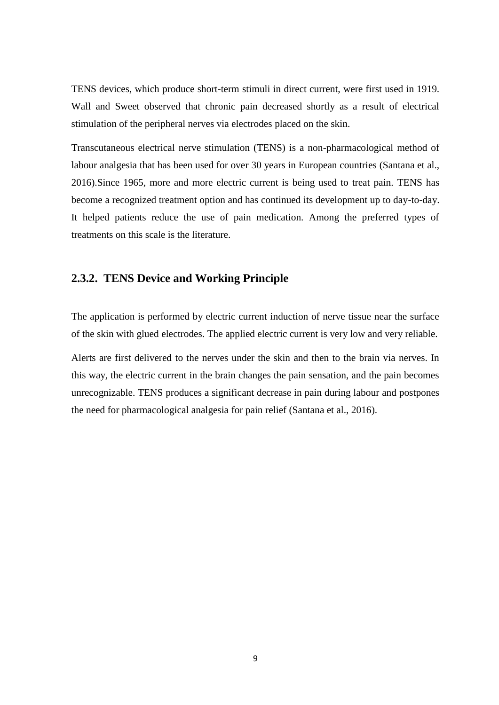TENS devices, which produce short-term stimuli in direct current, were first used in 1919. Wall and Sweet observed that chronic pain decreased shortly as a result of electrical stimulation of the peripheral nerves via electrodes placed on the skin.

Transcutaneous electrical nerve stimulation (TENS) is a non-pharmacological method of labour analgesia that has been used for over 30 years in European countries (Santana et al., 2016).Since 1965, more and more electric current is being used to treat pain. TENS has become a recognized treatment option and has continued its development up to day-to-day. It helped patients reduce the use of pain medication. Among the preferred types of treatments on this scale is the literature.

#### <span id="page-20-0"></span>**2.3.2. TENS Device and Working Principle**

The application is performed by electric current induction of nerve tissue near the surface of the skin with glued electrodes. The applied electric current is very low and very reliable.

Alerts are first delivered to the nerves under the skin and then to the brain via nerves. In this way, the electric current in the brain changes the pain sensation, and the pain becomes unrecognizable. TENS produces a significant decrease in pain during labour and postpones the need for pharmacological analgesia for pain relief (Santana et al., 2016).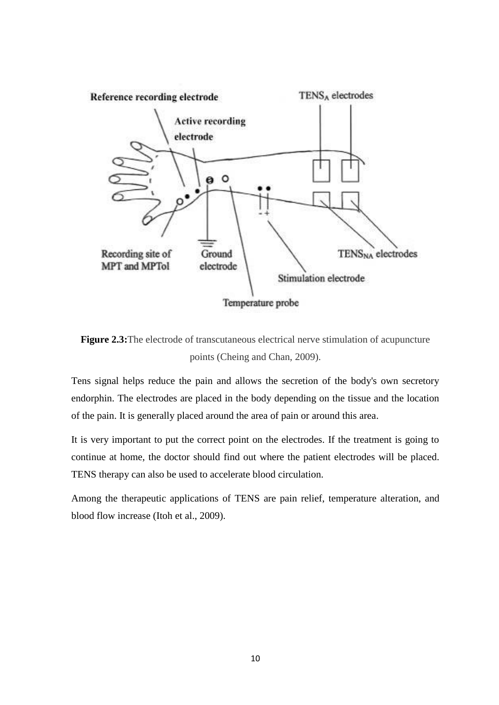

**Figure 2.3:**The electrode of transcutaneous electrical nerve stimulation of acupuncture points (Cheing and Chan, 2009).

Tens signal helps reduce the pain and allows the secretion of the body's own secretory endorphin. The electrodes are placed in the body depending on the tissue and the location of the pain. It is generally placed around the area of pain or around this area.

It is very important to put the correct point on the electrodes. If the treatment is going to continue at home, the doctor should find out where the patient electrodes will be placed. TENS therapy can also be used to accelerate blood circulation.

Among the therapeutic applications of TENS are pain relief, temperature alteration, and blood flow increase (Itoh et al., 2009).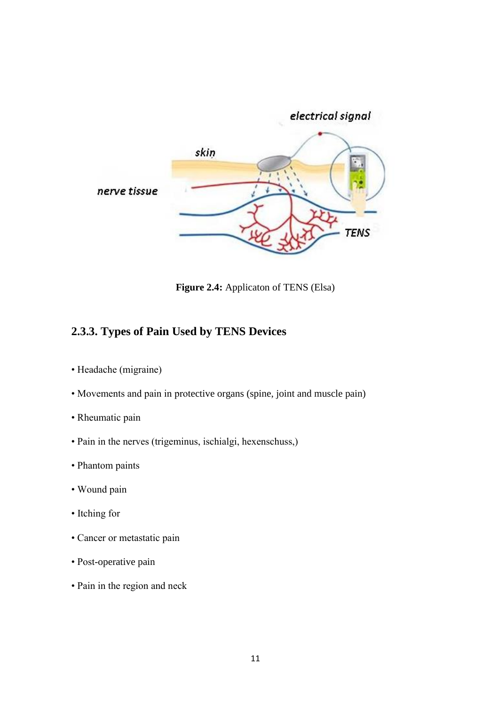

**Figure 2.4:** Applicaton of TENS (Elsa)

## <span id="page-22-0"></span>**2.3.3. Types of Pain Used by TENS Devices**

- Headache (migraine)
- Movements and pain in protective organs (spine, joint and muscle pain)
- Rheumatic pain
- Pain in the nerves (trigeminus, ischialgi, hexenschuss,)
- Phantom paints
- Wound pain
- Itching for
- Cancer or metastatic pain
- Post-operative pain
- Pain in the region and neck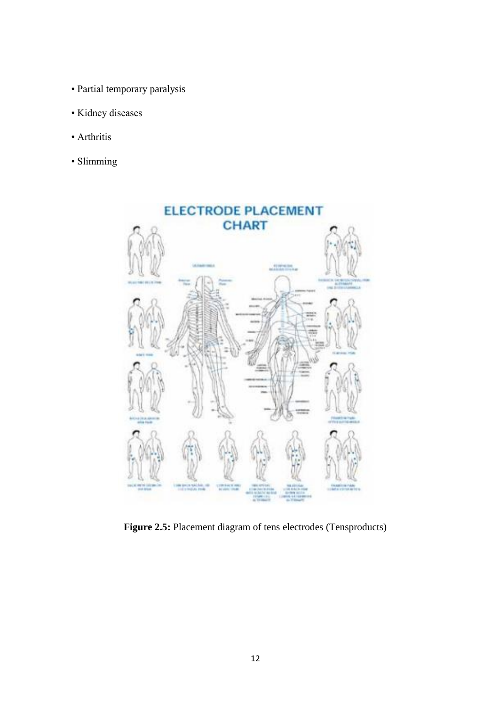- Partial temporary paralysis
- Kidney diseases
- Arthritis
- Slimming



**Figure 2.5:** Placement diagram of tens electrodes (Tensproducts)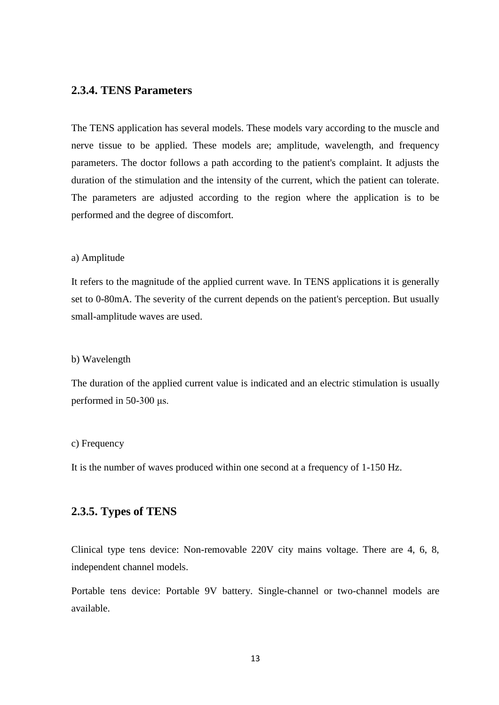#### <span id="page-24-0"></span>**2.3.4. TENS Parameters**

The TENS application has several models. These models vary according to the muscle and nerve tissue to be applied. These models are; amplitude, wavelength, and frequency parameters. The doctor follows a path according to the patient's complaint. It adjusts the duration of the stimulation and the intensity of the current, which the patient can tolerate. The parameters are adjusted according to the region where the application is to be performed and the degree of discomfort.

#### a) Amplitude

It refers to the magnitude of the applied current wave. In TENS applications it is generally set to 0-80mA. The severity of the current depends on the patient's perception. But usually small-amplitude waves are used.

#### b) Wavelength

The duration of the applied current value is indicated and an electric stimulation is usually performed in 50-300 μs.

#### c) Frequency

It is the number of waves produced within one second at a frequency of 1-150 Hz.

#### <span id="page-24-1"></span>**2.3.5. Types of TENS**

Clinical type tens device: Non-removable 220V city mains voltage. There are 4, 6, 8, independent channel models.

Portable tens device: Portable 9V battery. Single-channel or two-channel models are available.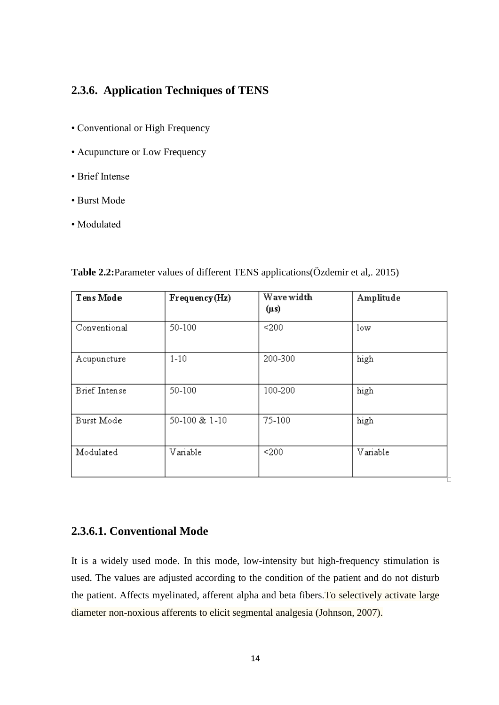## <span id="page-25-0"></span>**2.3.6. Application Techniques of TENS**

- Conventional or High Frequency
- Acupuncture or Low Frequency
- Brief Intense
- Burst Mode
- Modulated

| Tens Mode     | Frequency(Hz) | Wave width<br>$(\mu s)$ | Amplitude       |
|---------------|---------------|-------------------------|-----------------|
| Conventional  | 50-100        | < 200                   | 1 <sub>ow</sub> |
| Acupuncture   | $1-10$        | 200-300                 | high            |
| Brief Intense | 50-100        | 100-200                 | high            |
| Burst Mode    | 50-100 & 1-10 | 75-100                  | high            |
| Modulated     | Variable      | < 200                   | Variable        |

**Table 2.2:**Parameter values of different TENS applications(Özdemir et al,. 2015)

## <span id="page-25-1"></span>**2.3.6.1. Conventional Mode**

It is a widely used mode. In this mode, low-intensity but high-frequency stimulation is used. The values are adjusted according to the condition of the patient and do not disturb the patient. Affects myelinated, afferent alpha and beta fibers. To selectively activate large diameter non-noxious afferents to elicit segmental analgesia (Johnson, 2007).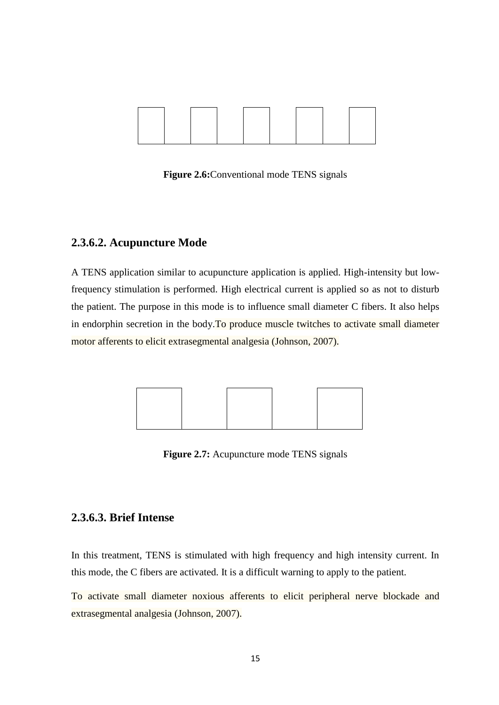

**Figure 2.6:**Conventional mode TENS signals

### <span id="page-26-0"></span>**2.3.6.2. Acupuncture Mode**

A TENS application similar to acupuncture application is applied. High-intensity but lowfrequency stimulation is performed. High electrical current is applied so as not to disturb the patient. The purpose in this mode is to influence small diameter C fibers. It also helps in endorphin secretion in the body.To produce muscle twitches to activate small diameter motor afferents to elicit extrasegmental analgesia (Johnson, 2007).



**Figure 2.7:** Acupuncture mode TENS signals

### <span id="page-26-1"></span>**2.3.6.3. Brief Intense**

In this treatment, TENS is stimulated with high frequency and high intensity current. In this mode, the C fibers are activated. It is a difficult warning to apply to the patient.

To activate small diameter noxious afferents to elicit peripheral nerve blockade and extrasegmental analgesia (Johnson, 2007).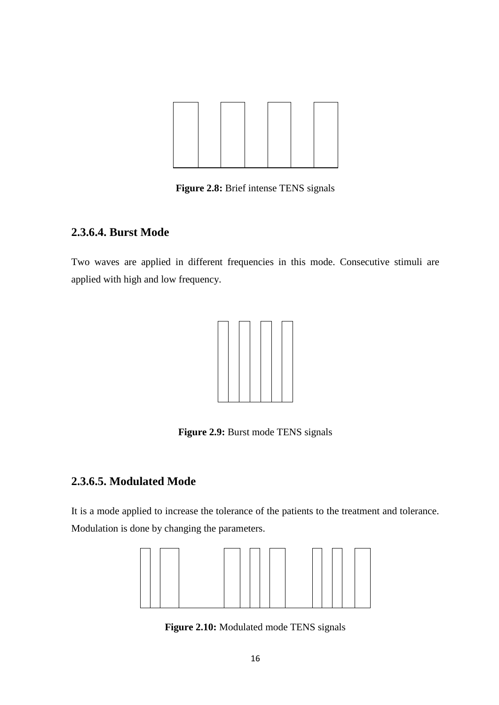

**Figure 2.8:** Brief intense TENS signals

### <span id="page-27-0"></span>**2.3.6.4. Burst Mode**

Two waves are applied in different frequencies in this mode. Consecutive stimuli are applied with high and low frequency.



Figure 2.9: Burst mode TENS signals

## <span id="page-27-1"></span>**2.3.6.5. Modulated Mode**

It is a mode applied to increase the tolerance of the patients to the treatment and tolerance. Modulation is done by changing the parameters.



**Figure 2.10:** Modulated mode TENS signals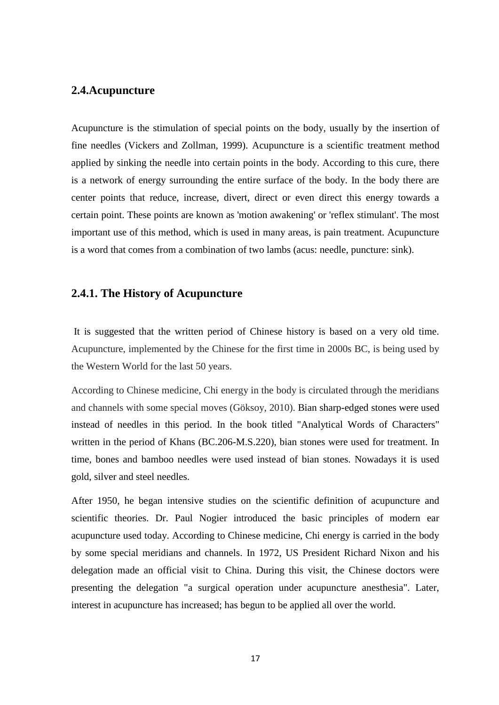### <span id="page-28-0"></span>**2.4.Acupuncture**

Acupuncture is the stimulation of special points on the body, usually by the insertion of fine needles (Vickers and Zollman, 1999). Acupuncture is a scientific treatment method applied by sinking the needle into certain points in the body. According to this cure, there is a network of energy surrounding the entire surface of the body. In the body there are center points that reduce, increase, divert, direct or even direct this energy towards a certain point. These points are known as 'motion awakening' or 'reflex stimulant'. The most important use of this method, which is used in many areas, is pain treatment. Acupuncture is a word that comes from a combination of two lambs (acus: needle, puncture: sink).

#### <span id="page-28-1"></span>**2.4.1. The History of Acupuncture**

It is suggested that the written period of Chinese history is based on a very old time. Acupuncture, implemented by the Chinese for the first time in 2000s BC, is being used by the Western World for the last 50 years.

According to Chinese medicine, Chi energy in the body is circulated through the meridians and channels with some special moves (Göksoy, 2010). Bian sharp-edged stones were used instead of needles in this period. In the book titled "Analytical Words of Characters" written in the period of Khans (BC.206-M.S.220), bian stones were used for treatment. In time, bones and bamboo needles were used instead of bian stones. Nowadays it is used gold, silver and steel needles.

After 1950, he began intensive studies on the scientific definition of acupuncture and scientific theories. Dr. Paul Nogier introduced the basic principles of modern ear acupuncture used today. According to Chinese medicine, Chi energy is carried in the body by some special meridians and channels. In 1972, US President Richard Nixon and his delegation made an official visit to China. During this visit, the Chinese doctors were presenting the delegation "a surgical operation under acupuncture anesthesia". Later, interest in acupuncture has increased; has begun to be applied all over the world.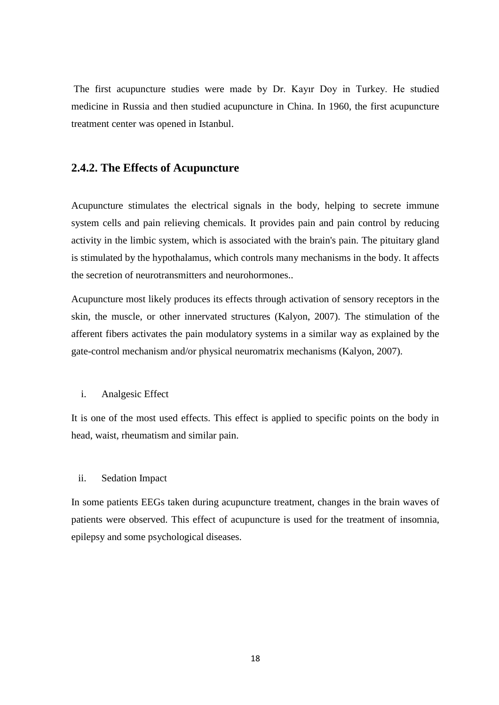The first acupuncture studies were made by Dr. Kayır Doy in Turkey. He studied medicine in Russia and then studied acupuncture in China. In 1960, the first acupuncture treatment center was opened in Istanbul.

#### <span id="page-29-0"></span>**2.4.2. The Effects of Acupuncture**

Acupuncture stimulates the electrical signals in the body, helping to secrete immune system cells and pain relieving chemicals. It provides pain and pain control by reducing activity in the limbic system, which is associated with the brain's pain. The pituitary gland is stimulated by the hypothalamus, which controls many mechanisms in the body. It affects the secretion of neurotransmitters and neurohormones..

Acupuncture most likely produces its effects through activation of sensory receptors in the skin, the muscle, or other innervated structures (Kalyon, 2007). The stimulation of the afferent fibers activates the pain modulatory systems in a similar way as explained by the gate-control mechanism and/or physical neuromatrix mechanisms (Kalyon, 2007).

#### i. Analgesic Effect

It is one of the most used effects. This effect is applied to specific points on the body in head, waist, rheumatism and similar pain.

#### ii. Sedation Impact

In some patients EEGs taken during acupuncture treatment, changes in the brain waves of patients were observed. This effect of acupuncture is used for the treatment of insomnia, epilepsy and some psychological diseases.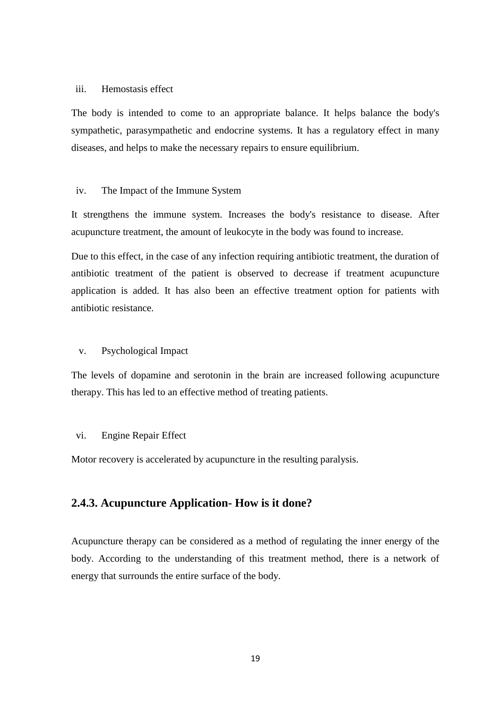#### iii. Hemostasis effect

The body is intended to come to an appropriate balance. It helps balance the body's sympathetic, parasympathetic and endocrine systems. It has a regulatory effect in many diseases, and helps to make the necessary repairs to ensure equilibrium.

#### iv. The Impact of the Immune System

It strengthens the immune system. Increases the body's resistance to disease. After acupuncture treatment, the amount of leukocyte in the body was found to increase.

Due to this effect, in the case of any infection requiring antibiotic treatment, the duration of antibiotic treatment of the patient is observed to decrease if treatment acupuncture application is added. It has also been an effective treatment option for patients with antibiotic resistance.

#### v. Psychological Impact

The levels of dopamine and serotonin in the brain are increased following acupuncture therapy. This has led to an effective method of treating patients.

#### vi. Engine Repair Effect

Motor recovery is accelerated by acupuncture in the resulting paralysis.

#### <span id="page-30-0"></span>**2.4.3. Acupuncture Application- How is it done?**

Acupuncture therapy can be considered as a method of regulating the inner energy of the body. According to the understanding of this treatment method, there is a network of energy that surrounds the entire surface of the body.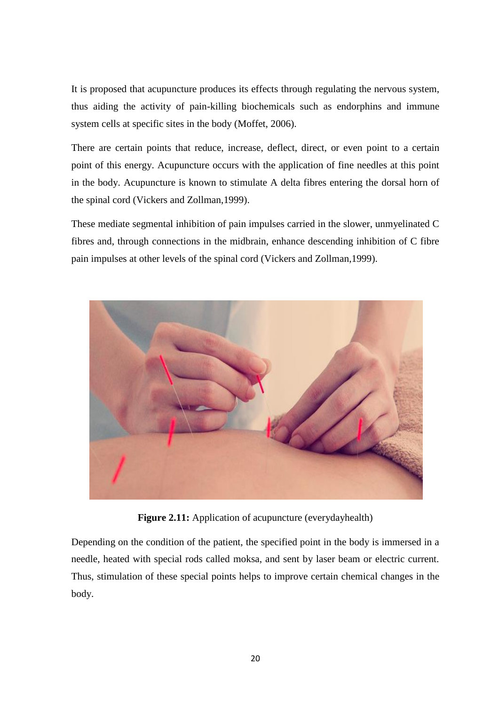It is proposed that acupuncture produces its effects through regulating the nervous system, thus aiding the activity of pain-killing biochemicals such as endorphins and immune system cells at specific sites in the body (Moffet, 2006).

There are certain points that reduce, increase, deflect, direct, or even point to a certain point of this energy. Acupuncture occurs with the application of fine needles at this point in the body. Acupuncture is known to stimulate A delta fibres entering the dorsal horn of the spinal cord (Vickers and Zollman,1999).

These mediate segmental inhibition of pain impulses carried in the slower, unmyelinated C fibres and, through connections in the midbrain, enhance descending inhibition of C fibre pain impulses at other levels of the spinal cord (Vickers and Zollman,1999).



**Figure 2.11:** Application of acupuncture (everydayhealth)

Depending on the condition of the patient, the specified point in the body is immersed in a needle, heated with special rods called moksa, and sent by laser beam or electric current. Thus, stimulation of these special points helps to improve certain chemical changes in the body.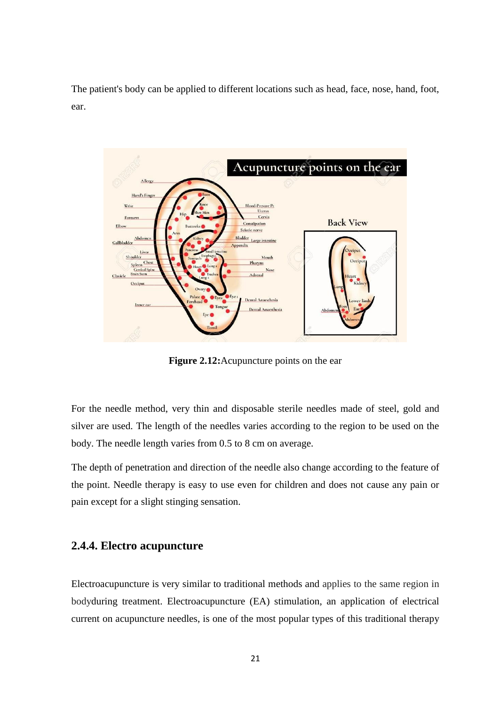The patient's body can be applied to different locations such as head, face, nose, hand, foot, ear.



**Figure 2.12:**Acupuncture points on the ear

For the needle method, very thin and disposable sterile needles made of steel, gold and silver are used. The length of the needles varies according to the region to be used on the body. The needle length varies from 0.5 to 8 cm on average.

The depth of penetration and direction of the needle also change according to the feature of the point. Needle therapy is easy to use even for children and does not cause any pain or pain except for a slight stinging sensation.

#### <span id="page-32-0"></span>**2.4.4. Electro acupuncture**

Electroacupuncture is very similar to traditional methods and applies to the same region in bodyduring treatment. Electroacupuncture (EA) stimulation, an application of electrical current on acupuncture needles, is one of the most popular types of this traditional therapy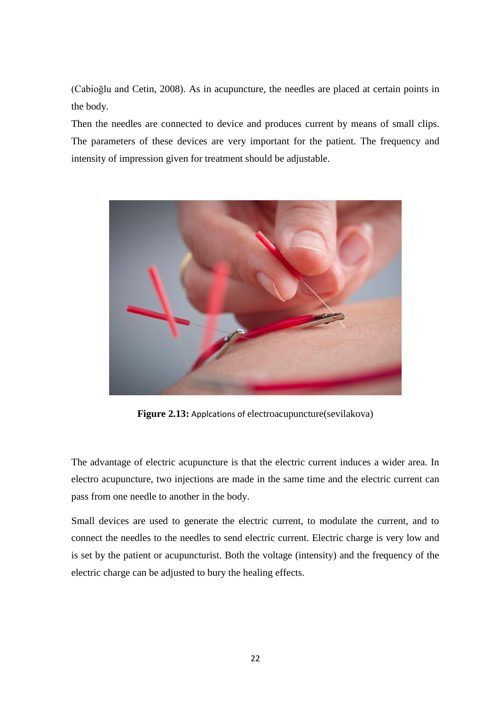(Cabioğlu and Cetin, 2008). As in acupuncture, the needles are placed at certain points in the body.

Then the needles are connected to device and produces current by means of small clips. The parameters of these devices are very important for the patient. The frequency and intensity of impression given for treatment should be adjustable.



**Figure 2.13:** Applcations of electroacupuncture(sevilakova)

The advantage of electric acupuncture is that the electric current induces a wider area. In electro acupuncture, two injections are made in the same time and the electric current can pass from one needle to another in the body.

Small devices are used to generate the electric current, to modulate the current, and to connect the needles to the needles to send electric current. Electric charge is very low and is set by the patient or acupuncturist. Both the voltage (intensity) and the frequency of the electric charge can be adjusted to bury the healing effects.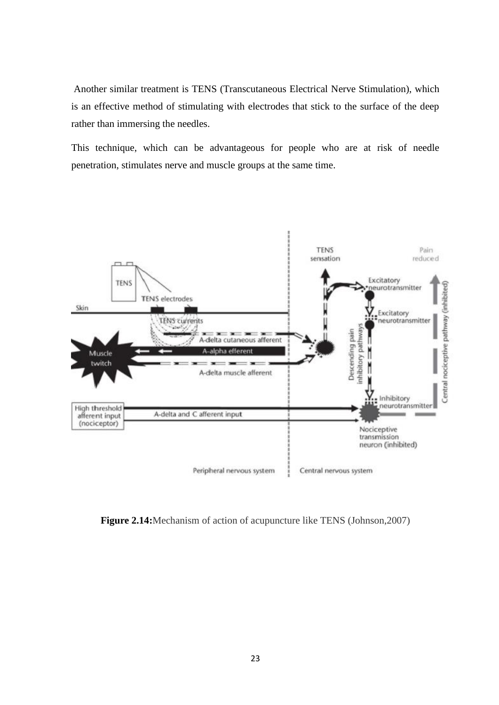Another similar treatment is TENS (Transcutaneous Electrical Nerve Stimulation), which is an effective method of stimulating with electrodes that stick to the surface of the deep rather than immersing the needles.

This technique, which can be advantageous for people who are at risk of needle penetration, stimulates nerve and muscle groups at the same time.



**Figure 2.14:**Mechanism of action of acupuncture like TENS (Johnson,2007)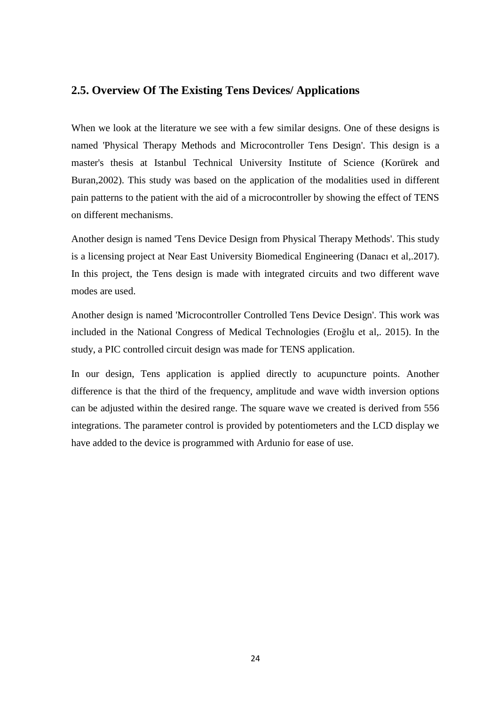#### <span id="page-35-0"></span>**2.5. Overview Of The Existing Tens Devices/ Applications**

When we look at the literature we see with a few similar designs. One of these designs is named 'Physical Therapy Methods and Microcontroller Tens Design'. This design is a master's thesis at Istanbul Technical University Institute of Science (Korürek and Buran,2002). This study was based on the application of the modalities used in different pain patterns to the patient with the aid of a microcontroller by showing the effect of TENS on different mechanisms.

Another design is named 'Tens Device Design from Physical Therapy Methods'. This study is a licensing project at Near East University Biomedical Engineering (Danacı et al,.2017). In this project, the Tens design is made with integrated circuits and two different wave modes are used.

Another design is named 'Microcontroller Controlled Tens Device Design'. This work was included in the National Congress of Medical Technologies (Eroğlu et al,. 2015). In the study, a PIC controlled circuit design was made for TENS application.

In our design, Tens application is applied directly to acupuncture points. Another difference is that the third of the frequency, amplitude and wave width inversion options can be adjusted within the desired range. The square wave we created is derived from 556 integrations. The parameter control is provided by potentiometers and the LCD display we have added to the device is programmed with Ardunio for ease of use.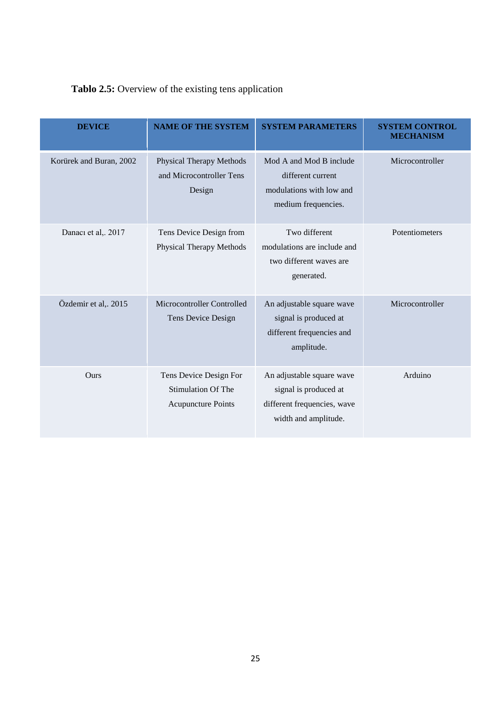## Tablo 2.5: Overview of the existing tens application

| <b>DEVICE</b>           | <b>NAME OF THE SYSTEM</b>                                                        | <b>SYSTEM PARAMETERS</b>                                                                                  | <b>SYSTEM CONTROL</b><br><b>MECHANISM</b> |
|-------------------------|----------------------------------------------------------------------------------|-----------------------------------------------------------------------------------------------------------|-------------------------------------------|
| Korürek and Buran, 2002 | <b>Physical Therapy Methods</b><br>and Microcontroller Tens<br>Design            | Mod A and Mod B include<br>different current<br>modulations with low and<br>medium frequencies.           | Microcontroller                           |
| Danacı et al,. 2017     | Tens Device Design from<br><b>Physical Therapy Methods</b>                       | Two different<br>modulations are include and<br>two different waves are<br>generated.                     | Potentiometers                            |
| Özdemir et al,. 2015    | Microcontroller Controlled<br>Tens Device Design                                 | An adjustable square wave<br>signal is produced at<br>different frequencies and<br>amplitude.             | Microcontroller                           |
| Ours                    | Tens Device Design For<br><b>Stimulation Of The</b><br><b>Acupuncture Points</b> | An adjustable square wave<br>signal is produced at<br>different frequencies, wave<br>width and amplitude. | Arduino                                   |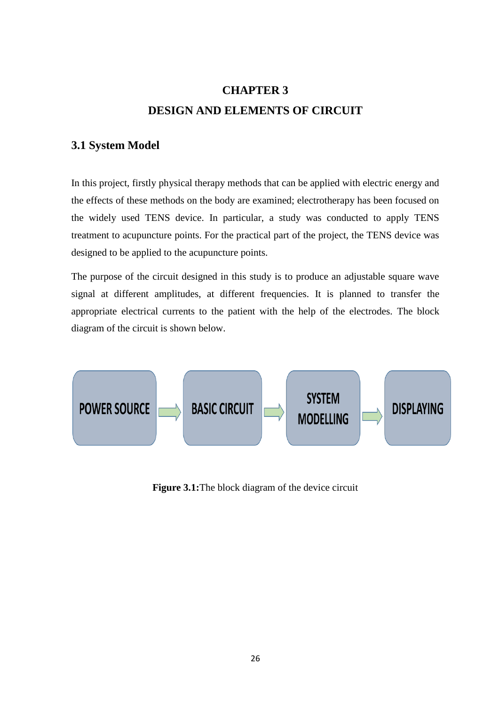# **CHAPTER 3 DESIGN AND ELEMENTS OF CIRCUIT**

### <span id="page-37-1"></span><span id="page-37-0"></span>**3.1 System Model**

In this project, firstly physical therapy methods that can be applied with electric energy and the effects of these methods on the body are examined; electrotherapy has been focused on the widely used TENS device. In particular, a study was conducted to apply TENS treatment to acupuncture points. For the practical part of the project, the TENS device was designed to be applied to the acupuncture points.

The purpose of the circuit designed in this study is to produce an adjustable square wave signal at different amplitudes, at different frequencies. It is planned to transfer the appropriate electrical currents to the patient with the help of the electrodes. The block diagram of the circuit is shown below.



**Figure 3.1:** The block diagram of the device circuit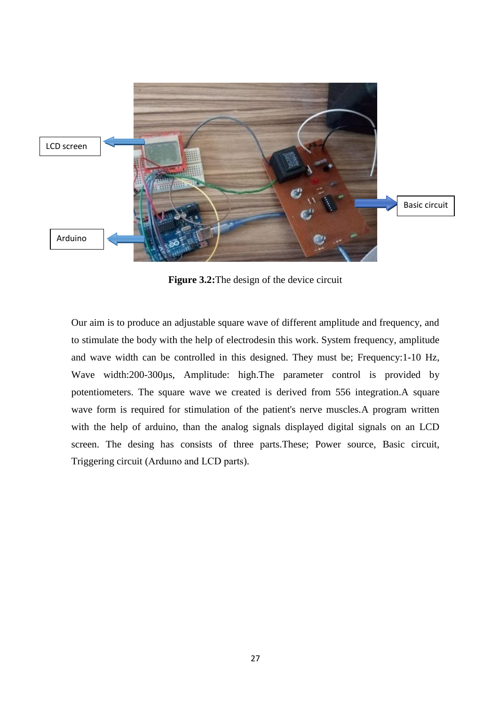

**Figure 3.2:** The design of the device circuit

Our aim is to produce an adjustable square wave of different amplitude and frequency, and to stimulate the body with the help of electrodesin this work. System frequency, amplitude and wave width can be controlled in this designed. They must be; Frequency:1-10 Hz, Wave width:200-300µs, Amplitude: high.The parameter control is provided by potentiometers. The square wave we created is derived from 556 integration.A square wave form is required for stimulation of the patient's nerve muscles.A program written with the help of arduino, than the analog signals displayed digital signals on an LCD screen. The desing has consists of three parts.These; Power source, Basic circuit, Triggering circuit (Arduıno and LCD parts).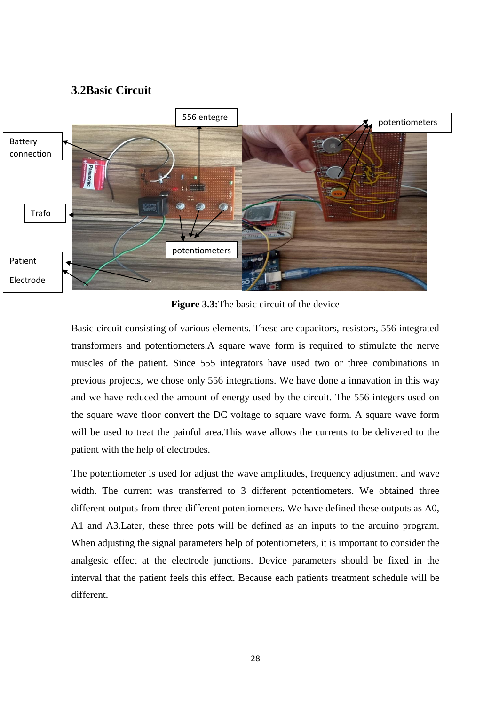#### **3.2Basic Circuit**



**Figure 3.3:**The basic circuit of the device

Basic circuit consisting of various elements. These are capacitors, resistors, 556 integrated transformers and potentiometers.A square wave form is required to stimulate the nerve muscles of the patient. Since 555 integrators have used two or three combinations in previous projects, we chose only 556 integrations. We have done a innavation in this way and we have reduced the amount of energy used by the circuit. The 556 integers used on the square wave floor convert the DC voltage to square wave form. A square wave form will be used to treat the painful area.This wave allows the currents to be delivered to the patient with the help of electrodes.

The potentiometer is used for adjust the wave amplitudes, frequency adjustment and wave width. The current was transferred to 3 different potentiometers. We obtained three different outputs from three different potentiometers. We have defined these outputs as A0, A1 and A3.Later, these three pots will be defined as an inputs to the arduino program. When adjusting the signal parameters help of potentiometers, it is important to consider the analgesic effect at the electrode junctions. Device parameters should be fixed in the interval that the patient feels this effect. Because each patients treatment schedule will be different.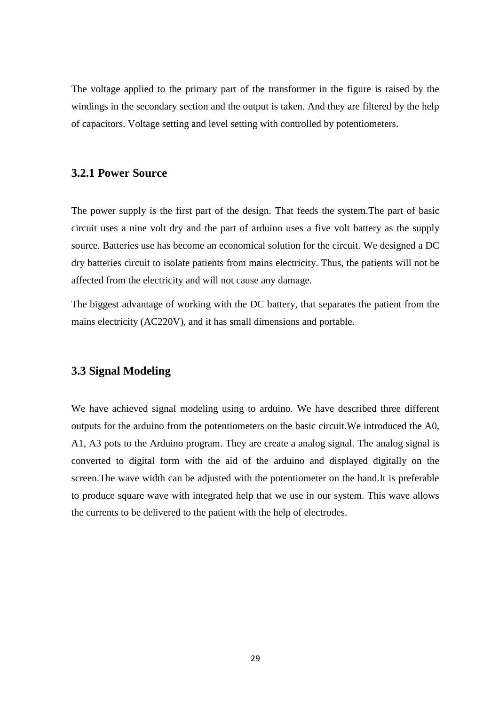The voltage applied to the primary part of the transformer in the figure is raised by the windings in the secondary section and the output is taken. And they are filtered by the help of capacitors. Voltage setting and level setting with controlled by potentiometers.

#### <span id="page-40-0"></span>**3.2.1 Power Source**

The power supply is the first part of the design. That feeds the system.The part of basic circuit uses a nine volt dry and the part of arduino uses a five volt battery as the supply source. Batteries use has become an economical solution for the circuit. We designed a DC dry batteries circuit to isolate patients from mains electricity. Thus, the patients will not be affected from the electricity and will not cause any damage.

The biggest advantage of working with the DC battery, that separates the patient from the mains electricity (AC220V), and it has small dimensions and portable.

#### **3.3 Signal Modeling**

We have achieved signal modeling using to arduino. We have described three different outputs for the arduino from the potentiometers on the basic circuit.We introduced the A0, A1, A3 pots to the Arduino program. They are create a analog signal. The analog signal is converted to digital form with the aid of the arduino and displayed digitally on the screen.The wave width can be adjusted with the potentiometer on the hand.It is preferable to produce square wave with integrated help that we use in our system. This wave allows the currents to be delivered to the patient with the help of electrodes.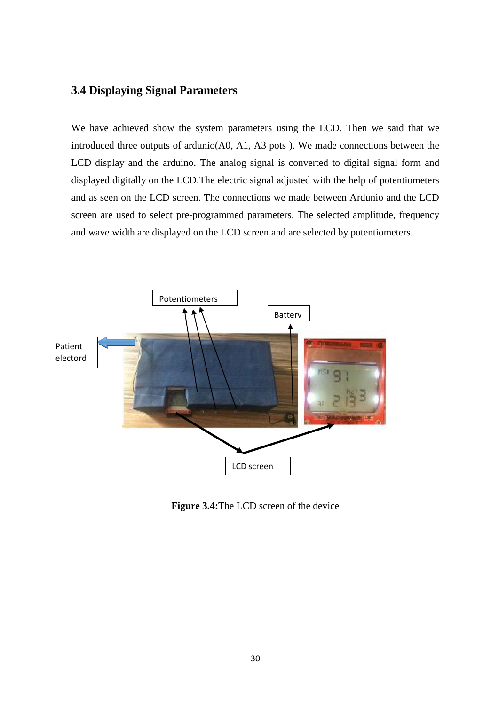## **3.4 Displaying Signal Parameters**

We have achieved show the system parameters using the LCD. Then we said that we introduced three outputs of ardunio(A0, A1, A3 pots ). We made connections between the LCD display and the arduino. The analog signal is converted to digital signal form and displayed digitally on the LCD.The electric signal adjusted with the help of potentiometers and as seen on the LCD screen. The connections we made between Ardunio and the LCD screen are used to select pre-programmed parameters. The selected amplitude, frequency and wave width are displayed on the LCD screen and are selected by potentiometers.



**Figure 3.4:**The LCD screen of the device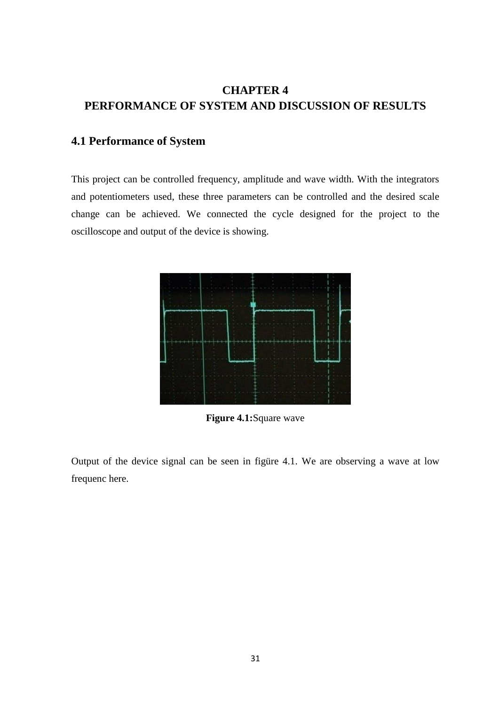## <span id="page-42-0"></span>**CHAPTER 4 PERFORMANCE OF SYSTEM AND DISCUSSION OF RESULTS**

## <span id="page-42-1"></span>**4.1 Performance of System**

This project can be controlled frequency, amplitude and wave width. With the integrators and potentiometers used, these three parameters can be controlled and the desired scale change can be achieved. We connected the cycle designed for the project to the oscilloscope and output of the device is showing.



**Figure 4.1:**Square wave

Output of the device signal can be seen in figüre 4.1. We are observing a wave at low frequenc here.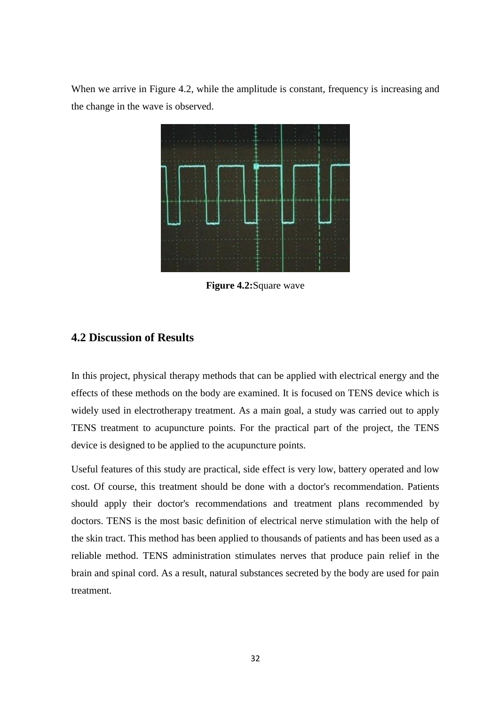When we arrive in Figure 4.2, while the amplitude is constant, frequency is increasing and the change in the wave is observed.



**Figure 4.2:**Square wave

### <span id="page-43-0"></span>**4.2 Discussion of Results**

In this project, physical therapy methods that can be applied with electrical energy and the effects of these methods on the body are examined. It is focused on TENS device which is widely used in electrotherapy treatment. As a main goal, a study was carried out to apply TENS treatment to acupuncture points. For the practical part of the project, the TENS device is designed to be applied to the acupuncture points.

Useful features of this study are practical, side effect is very low, battery operated and low cost. Of course, this treatment should be done with a doctor's recommendation. Patients should apply their doctor's recommendations and treatment plans recommended by doctors. TENS is the most basic definition of electrical nerve stimulation with the help of the skin tract. This method has been applied to thousands of patients and has been used as a reliable method. TENS administration stimulates nerves that produce pain relief in the brain and spinal cord. As a result, natural substances secreted by the body are used for pain treatment.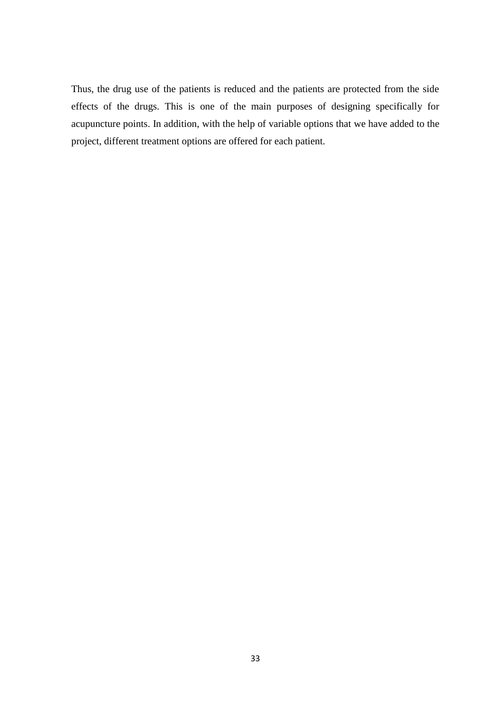<span id="page-44-0"></span>Thus, the drug use of the patients is reduced and the patients are protected from the side effects of the drugs. This is one of the main purposes of designing specifically for acupuncture points. In addition, with the help of variable options that we have added to the project, different treatment options are offered for each patient.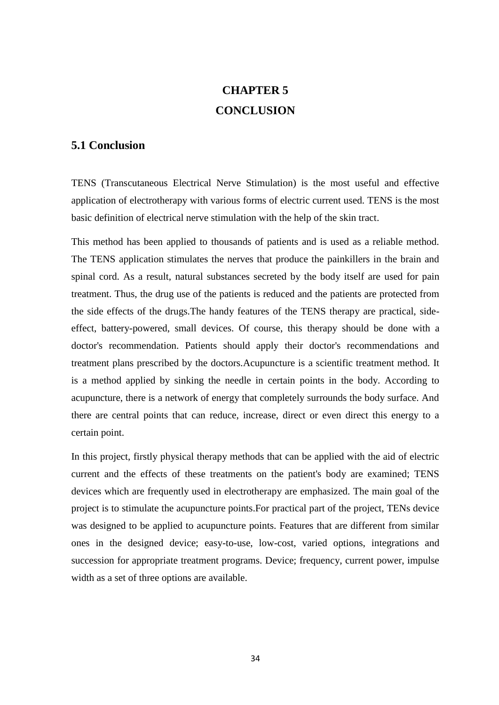# **CHAPTER 5 CONCLUSION**

### <span id="page-45-0"></span>**5.1 Conclusion**

TENS (Transcutaneous Electrical Nerve Stimulation) is the most useful and effective application of electrotherapy with various forms of electric current used. TENS is the most basic definition of electrical nerve stimulation with the help of the skin tract.

This method has been applied to thousands of patients and is used as a reliable method. The TENS application stimulates the nerves that produce the painkillers in the brain and spinal cord. As a result, natural substances secreted by the body itself are used for pain treatment. Thus, the drug use of the patients is reduced and the patients are protected from the side effects of the drugs.The handy features of the TENS therapy are practical, sideeffect, battery-powered, small devices. Of course, this therapy should be done with a doctor's recommendation. Patients should apply their doctor's recommendations and treatment plans prescribed by the doctors.Acupuncture is a scientific treatment method. It is a method applied by sinking the needle in certain points in the body. According to acupuncture, there is a network of energy that completely surrounds the body surface. And there are central points that can reduce, increase, direct or even direct this energy to a certain point.

In this project, firstly physical therapy methods that can be applied with the aid of electric current and the effects of these treatments on the patient's body are examined; TENS devices which are frequently used in electrotherapy are emphasized. The main goal of the project is to stimulate the acupuncture points.For practical part of the project, TENs device was designed to be applied to acupuncture points. Features that are different from similar ones in the designed device; easy-to-use, low-cost, varied options, integrations and succession for appropriate treatment programs. Device; frequency, current power, impulse width as a set of three options are available.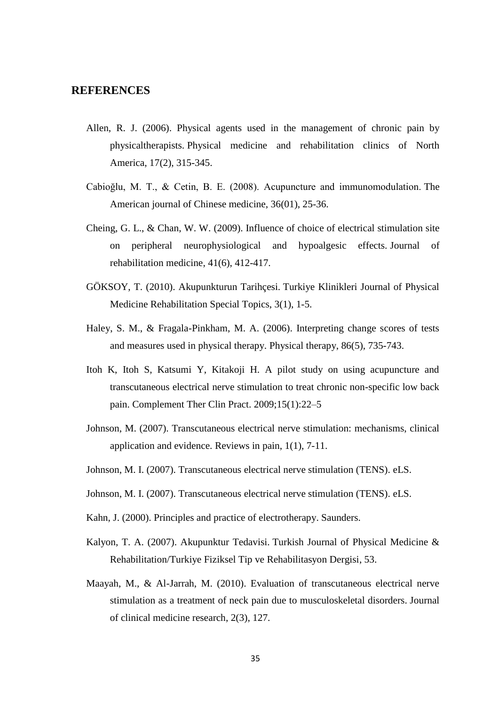#### <span id="page-46-0"></span>**REFERENCES**

- Allen, R. J. (2006). Physical agents used in the management of chronic pain by physicaltherapists. Physical medicine and rehabilitation clinics of North America, 17(2), 315-345.
- Cabioğlu, M. T., & Cetin, B. E. (2008). Acupuncture and immunomodulation. The American journal of Chinese medicine, 36(01), 25-36.
- Cheing, G. L., & Chan, W. W. (2009). Influence of choice of electrical stimulation site on peripheral neurophysiological and hypoalgesic effects. Journal of rehabilitation medicine, 41(6), 412-417.
- GÖKSOY, T. (2010). Akupunkturun Tarihçesi. Turkiye Klinikleri Journal of Physical Medicine Rehabilitation Special Topics, 3(1), 1-5.
- Haley, S. M., & Fragala-Pinkham, M. A. (2006). Interpreting change scores of tests and measures used in physical therapy. Physical therapy, 86(5), 735-743.
- Itoh K, Itoh S, Katsumi Y, Kitakoji H. A pilot study on using acupuncture and transcutaneous electrical nerve stimulation to treat chronic non-specific low back pain. Complement Ther Clin Pract. 2009;15(1):22–5
- Johnson, M. (2007). Transcutaneous electrical nerve stimulation: mechanisms, clinical application and evidence. Reviews in pain, 1(1), 7-11.
- Johnson, M. I. (2007). Transcutaneous electrical nerve stimulation (TENS). eLS.
- Johnson, M. I. (2007). Transcutaneous electrical nerve stimulation (TENS). eLS.
- Kahn, J. (2000). Principles and practice of electrotherapy. Saunders.
- Kalyon, T. A. (2007). Akupunktur Tedavisi. Turkish Journal of Physical Medicine & Rehabilitation/Turkiye Fiziksel Tip ve Rehabilitasyon Dergisi, 53.
- Maayah, M., & Al-Jarrah, M. (2010). Evaluation of transcutaneous electrical nerve stimulation as a treatment of neck pain due to musculoskeletal disorders. Journal of clinical medicine research, 2(3), 127.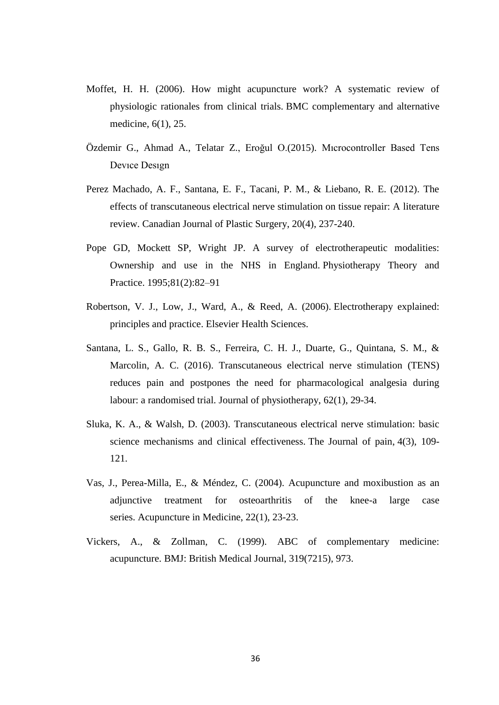- Moffet, H. H. (2006). How might acupuncture work? A systematic review of physiologic rationales from clinical trials. BMC complementary and alternative medicine, 6(1), 25.
- Özdemir G., Ahmad A., Telatar Z., Eroğul O.(2015). Mıcrocontroller Based Tens Devıce Desıgn
- Perez Machado, A. F., Santana, E. F., Tacani, P. M., & Liebano, R. E. (2012). The effects of transcutaneous electrical nerve stimulation on tissue repair: A literature review. Canadian Journal of Plastic Surgery, 20(4), 237-240.
- Pope GD, Mockett SP, Wright JP. A survey of electrotherapeutic modalities: Ownership and use in the NHS in England. Physiotherapy Theory and Practice. 1995;81(2):82–91
- Robertson, V. J., Low, J., Ward, A., & Reed, A. (2006). Electrotherapy explained: principles and practice. Elsevier Health Sciences.
- Santana, L. S., Gallo, R. B. S., Ferreira, C. H. J., Duarte, G., Quintana, S. M., & Marcolin, A. C. (2016). Transcutaneous electrical nerve stimulation (TENS) reduces pain and postpones the need for pharmacological analgesia during labour: a randomised trial. Journal of physiotherapy, 62(1), 29-34.
- Sluka, K. A., & Walsh, D. (2003). Transcutaneous electrical nerve stimulation: basic science mechanisms and clinical effectiveness. The Journal of pain, 4(3), 109- 121.
- Vas, J., Perea-Milla, E., & Méndez, C. (2004). Acupuncture and moxibustion as an adjunctive treatment for osteoarthritis of the knee-a large case series. Acupuncture in Medicine, 22(1), 23-23.
- Vickers, A., & Zollman, C. (1999). ABC of complementary medicine: acupuncture. BMJ: British Medical Journal, 319(7215), 973.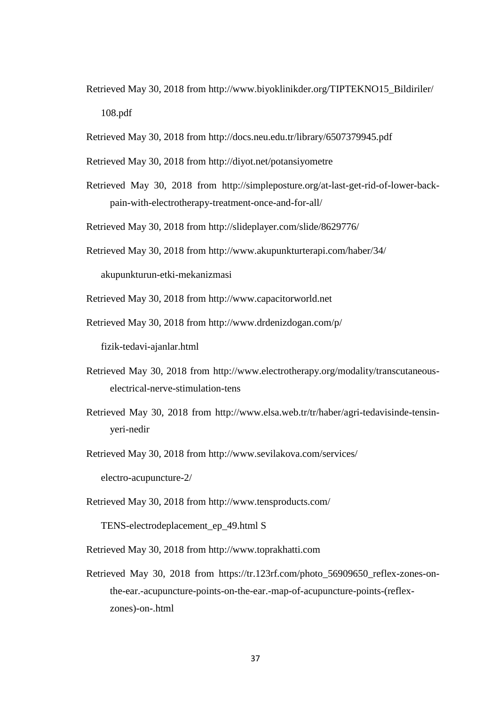- Retrieved May 30, 2018 from [http://www.biyoklinikder.org/TIPTEKNO15\\_Bildiriler/](http://www.biyoklinikder.org/TIPTEKNO15_Bildiriler/) 108.pdf
- Retrieved May 30, 2018 from http://docs.neu.edu.tr/library/6507379945.pdf
- Retrieved May 30, 2018 from http://diyot.net/potansiyometre
- Retrieved May 30, 2018 from [http://simpleposture.org/at-last-get-rid-of-lower-back](http://simpleposture.org/at-last-get-rid-of-lower-back-pain-with-electrotherapy-treatment-once-and-for-all/)[pain-with-electrotherapy-treatment-once-and-for-all/](http://simpleposture.org/at-last-get-rid-of-lower-back-pain-with-electrotherapy-treatment-once-and-for-all/)
- Retrieved May 30, 2018 from http://slideplayer.com/slide/8629776/
- Retrieved May 30, 2018 from<http://www.akupunkturterapi.com/haber/34/>

akupunkturun-etki-mekanizmasi

Retrieved May 30, 2018 from http://www.capacitorworld.net

Retrieved May 30, 2018 from<http://www.drdenizdogan.com/p/>

fizik-tedavi-ajanlar.html

- Retrieved May 30, 2018 from [http://www.electrotherapy.org/modality/transcutaneous](http://www.electrotherapy.org/modality/transcutaneous-electrical-nerve-stimulation-tens)[electrical-nerve-stimulation-tens](http://www.electrotherapy.org/modality/transcutaneous-electrical-nerve-stimulation-tens)
- Retrieved May 30, 2018 from http://www.elsa.web.tr/tr/haber/agri-tedavisinde-tensinyeri-nedir
- Retrieved May 30, 2018 from<http://www.sevilakova.com/services/> electro-acupuncture-2/
- Retrieved May 30, 2018 from<http://www.tensproducts.com/>

TENS-electrodeplacement\_ep\_49.html S

Retrieved May 30, 2018 from [http://www.toprakhatti.com](http://www.toprakhatti.com/)

Retrieved May 30, 2018 from [https://tr.123rf.com/photo\\_56909650\\_reflex-zones-on](https://tr.123rf.com/photo_56909650_reflex-zones-on-the-ear.-acupuncture-points-on-the-ear.-map-of-acupuncture-points-(reflex-zones)-on-.html)[the-ear.-acupuncture-points-on-the-ear.-map-of-acupuncture-points-\(reflex](https://tr.123rf.com/photo_56909650_reflex-zones-on-the-ear.-acupuncture-points-on-the-ear.-map-of-acupuncture-points-(reflex-zones)-on-.html)[zones\)-on-.html](https://tr.123rf.com/photo_56909650_reflex-zones-on-the-ear.-acupuncture-points-on-the-ear.-map-of-acupuncture-points-(reflex-zones)-on-.html)